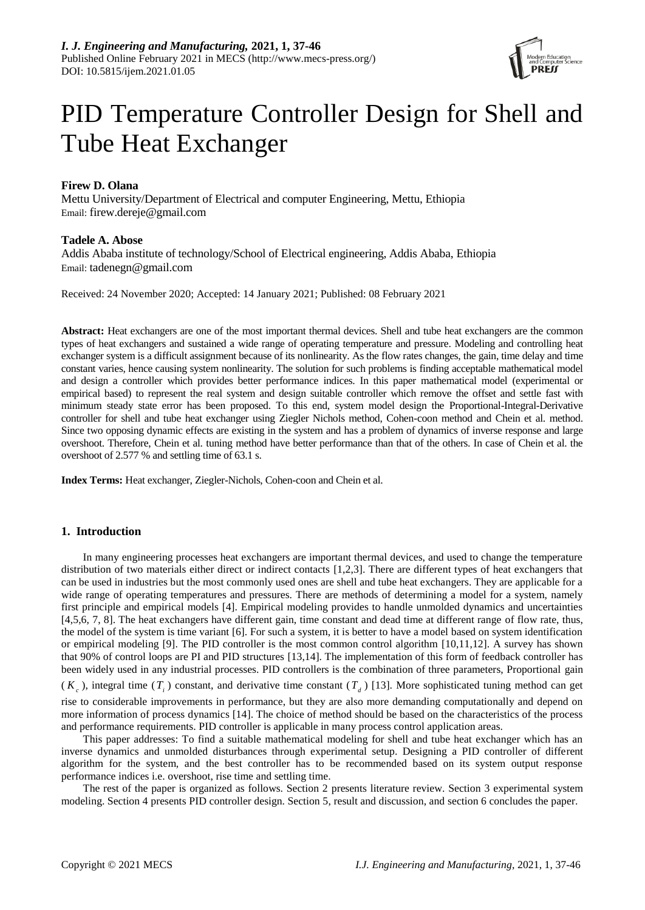

# PID Temperature Controller Design for Shell and Tube Heat Exchanger

# **Firew D. Olana**

Mettu University/Department of Electrical and computer Engineering, Mettu, Ethiopia Email: firew.dereje@gmail.com

## **Tadele A. Abose**

Addis Ababa institute of technology/School of Electrical engineering, Addis Ababa, Ethiopia Email: tadenegn@gmail.com

Received: 24 November 2020; Accepted: 14 January 2021; Published: 08 February 2021

**Abstract:** Heat exchangers are one of the most important thermal devices. Shell and tube heat exchangers are the common types of heat exchangers and sustained a wide range of operating temperature and pressure. Modeling and controlling heat exchanger system is a difficult assignment because of its nonlinearity. As the flow rates changes, the gain, time delay and time constant varies, hence causing system nonlinearity. The solution for such problems is finding acceptable mathematical model and design a controller which provides better performance indices. In this paper mathematical model (experimental or empirical based) to represent the real system and design suitable controller which remove the offset and settle fast with minimum steady state error has been proposed. To this end, system model design the Proportional-Integral-Derivative controller for shell and tube heat exchanger using Ziegler Nichols method, Cohen-coon method and Chein et al. method. Since two opposing dynamic effects are existing in the system and has a problem of dynamics of inverse response and large overshoot. Therefore, Chein et al. tuning method have better performance than that of the others. In case of Chein et al. the overshoot of 2.577 % and settling time of 63.1 s.

**Index Terms:** Heat exchanger, Ziegler-Nichols, Cohen-coon and Chein et al.

## **1. Introduction**

In many engineering processes heat exchangers are important thermal devices, and used to change the temperature distribution of two materials either direct or indirect contacts [1,2,3]. There are different types of heat exchangers that can be used in industries but the most commonly used ones are shell and tube heat exchangers. They are applicable for a wide range of operating temperatures and pressures. There are methods of determining a model for a system, namely first principle and empirical models [4]. Empirical modeling provides to handle unmolded dynamics and uncertainties [4,5,6, 7, 8]. The heat exchangers have different gain, time constant and dead time at different range of flow rate, thus, the model of the system is time variant [6]. For such a system, it is better to have a model based on system identification or empirical modeling [9]. The PID controller is the most common control algorithm [10,11,12]. A survey has shown that 90% of control loops are PI and PID structures [13,14]. The implementation of this form of feedback controller has been widely used in any industrial processes. PID controllers is the combination of three parameters, Proportional gain

 $(K_c)$ , integral time  $(T_i)$  constant, and derivative time constant  $(T_d)$  [13]. More sophisticated tuning method can get rise to considerable improvements in performance, but they are also more demanding computationally and depend on more information of process dynamics [14]. The choice of method should be based on the characteristics of the process and performance requirements. PID controller is applicable in many process control application areas.

This paper addresses: To find a suitable mathematical modeling for shell and tube heat exchanger which has an inverse dynamics and unmolded disturbances through experimental setup. Designing a PID controller of different algorithm for the system, and the best controller has to be recommended based on its system output response performance indices i.e. overshoot, rise time and settling time.

The rest of the paper is organized as follows. Section 2 presents literature review. Section 3 experimental system modeling. Section 4 presents PID controller design. Section 5, result and discussion, and section 6 concludes the paper.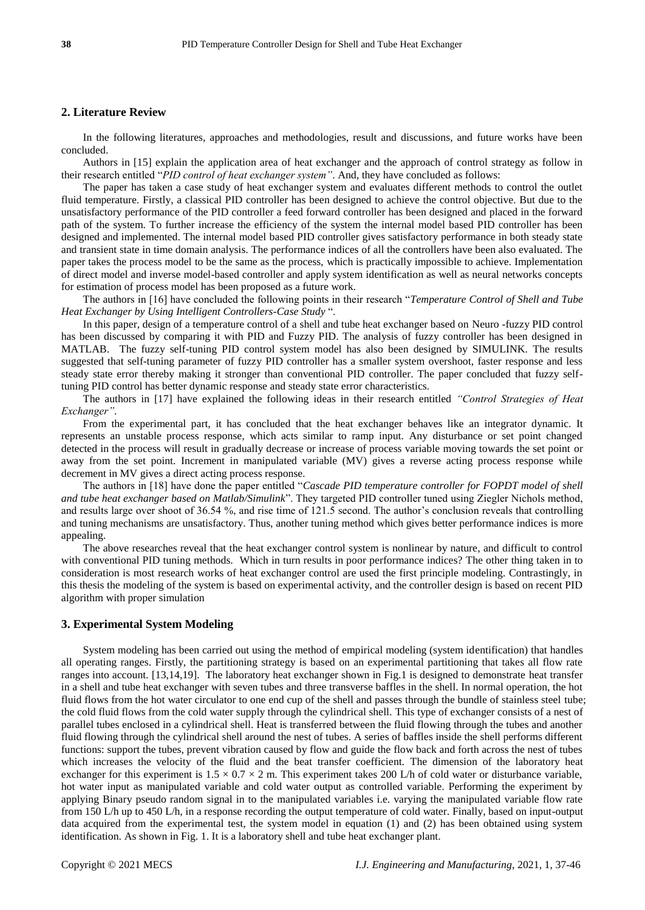## **2. Literature Review**

In the following literatures, approaches and methodologies, result and discussions, and future works have been concluded.

Authors in [15] explain the application area of heat exchanger and the approach of control strategy as follow in their research entitled "*PID control of heat exchanger system"*. And, they have concluded as follows:

The paper has taken a case study of heat exchanger system and evaluates different methods to control the outlet fluid temperature. Firstly, a classical PID controller has been designed to achieve the control objective. But due to the unsatisfactory performance of the PID controller a feed forward controller has been designed and placed in the forward path of the system. To further increase the efficiency of the system the internal model based PID controller has been designed and implemented. The internal model based PID controller gives satisfactory performance in both steady state and transient state in time domain analysis. The performance indices of all the controllers have been also evaluated. The paper takes the process model to be the same as the process, which is practically impossible to achieve. Implementation of direct model and inverse model-based controller and apply system identification as well as neural networks concepts for estimation of process model has been proposed as a future work.

The authors in [16] have concluded the following points in their research "*Temperature Control of Shell and Tube Heat Exchanger by Using Intelligent Controllers-Case Study* ".

In this paper, design of a temperature control of a shell and tube heat exchanger based on Neuro -fuzzy PID control has been discussed by comparing it with PID and Fuzzy PID. The analysis of fuzzy controller has been designed in MATLAB. The fuzzy self-tuning PID control system model has also been designed by SIMULINK. The results suggested that self-tuning parameter of fuzzy PID controller has a smaller system overshoot, faster response and less steady state error thereby making it stronger than conventional PID controller. The paper concluded that fuzzy selftuning PID control has better dynamic response and steady state error characteristics.

The authors in [17] have explained the following ideas in their research entitled *"Control Strategies of Heat Exchanger"*.

From the experimental part, it has concluded that the heat exchanger behaves like an integrator dynamic. It represents an unstable process response, which acts similar to ramp input. Any disturbance or set point changed detected in the process will result in gradually decrease or increase of process variable moving towards the set point or away from the set point. Increment in manipulated variable (MV) gives a reverse acting process response while decrement in MV gives a direct acting process response.

The authors in [18] have done the paper entitled "*Cascade PID temperature controller for FOPDT model of shell and tube heat exchanger based on Matlab/Simulink*". They targeted PID controller tuned using Ziegler Nichols method, and results large over shoot of 36.54 %, and rise time of 121.5 second. The author's conclusion reveals that controlling and tuning mechanisms are unsatisfactory. Thus, another tuning method which gives better performance indices is more appealing.

The above researches reveal that the heat exchanger control system is nonlinear by nature, and difficult to control with conventional PID tuning methods. Which in turn results in poor performance indices? The other thing taken in to consideration is most research works of heat exchanger control are used the first principle modeling. Contrastingly, in this thesis the modeling of the system is based on experimental activity, and the controller design is based on recent PID algorithm with proper simulation

#### **3. Experimental System Modeling**

System modeling has been carried out using the method of empirical modeling (system identification) that handles all operating ranges. Firstly, the partitioning strategy is based on an experimental partitioning that takes all flow rate ranges into account. [13,14,19]. The laboratory heat exchanger shown in Fig.1 is designed to demonstrate heat transfer in a shell and tube heat exchanger with seven tubes and three transverse baffles in the shell. In normal operation, the hot fluid flows from the hot water circulator to one end cup of the shell and passes through the bundle of stainless steel tube; the cold fluid flows from the cold water supply through the cylindrical shell. This type of exchanger consists of a nest of parallel tubes enclosed in a cylindrical shell. Heat is transferred between the fluid flowing through the tubes and another fluid flowing through the cylindrical shell around the nest of tubes. A series of baffles inside the shell performs different functions: support the tubes, prevent vibration caused by flow and guide the flow back and forth across the nest of tubes which increases the velocity of the fluid and the beat transfer coefficient. The dimension of the laboratory heat exchanger for this experiment is  $1.5 \times 0.7 \times 2$  m. This experiment takes 200 L/h of cold water or disturbance variable, hot water input as manipulated variable and cold water output as controlled variable. Performing the experiment by applying Binary pseudo random signal in to the manipulated variables i.e. varying the manipulated variable flow rate from 150 L/h up to 450 L/h, in a response recording the output temperature of cold water. Finally, based on input-output data acquired from the experimental test, the system model in equation (1) and (2) has been obtained using system identification. As shown in Fig. 1. It is a laboratory shell and tube heat exchanger plant.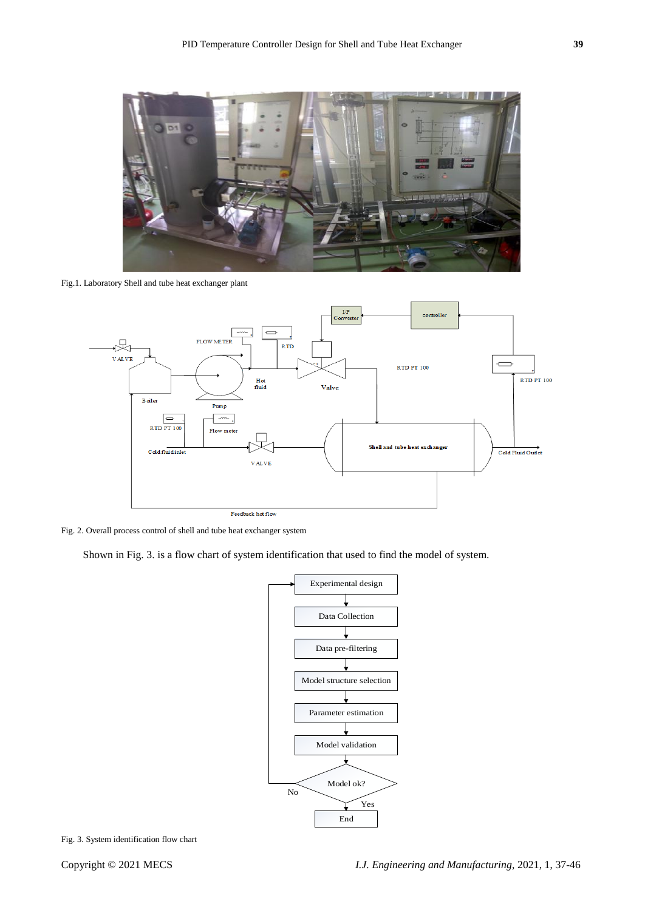

Fig.1. Laboratory Shell and tube heat exchanger plant



Fig. 2. Overall process control of shell and tube heat exchanger system

Shown in Fig. 3. is a flow chart of system identification that used to find the model of system.



Fig. 3. System identification flow chart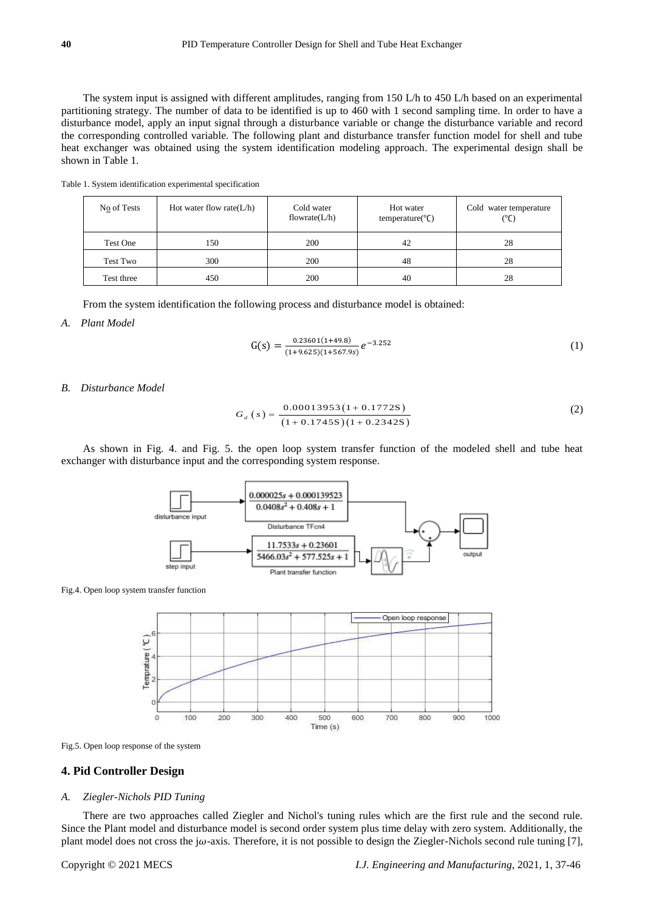The system input is assigned with different amplitudes, ranging from 150 L/h to 450 L/h based on an experimental partitioning strategy. The number of data to be identified is up to 460 with 1 second sampling time. In order to have a disturbance model, apply an input signal through a disturbance variable or change the disturbance variable and record the corresponding controlled variable. The following plant and disturbance transfer function model for shell and tube heat exchanger was obtained using the system identification modeling approach. The experimental design shall be shown in Table 1.

|  | Table 1. System identification experimental specification |  |
|--|-----------------------------------------------------------|--|
|  |                                                           |  |

| No of Tests | Hot water flow rate $(L/h)$ | Cold water<br>flowrate $(L/h)$ | Hot water<br>temperature( ${}^{\circ}$ C) | Cold water temperature<br>$(^{\circ}C)$ |
|-------------|-----------------------------|--------------------------------|-------------------------------------------|-----------------------------------------|
| Test One    | 150                         | 200                            | 42                                        | 28                                      |
| Test Two    | 300                         | 200                            | 48                                        | 28                                      |
| Test three  | 450                         | 200                            | 40                                        | 28                                      |

From the system identification the following process and disturbance model is obtained:

*A. Plant Model*

$$
G(s) = \frac{0.23601(1+49.8)}{(1+9.625)(1+567.9s)} e^{-3.252}
$$
 (1)

*B. Disturbance Model*

$$
G_{d}\left(s\right) = \frac{0.00013953\left(1 + 0.1772S\right)}{\left(1 + 0.1745S\right)\left(1 + 0.2342S\right)}
$$
\n(2)

As shown in Fig. 4. and Fig. 5. the open loop system transfer function of the modeled shell and tube heat exchanger with disturbance input and the corresponding system response.



Fig.4. Open loop system transfer function





#### **4. Pid Controller Design**

#### *A. Ziegler-Nichols PID Tuning*

There are two approaches called Ziegler and Nichol's tuning rules which are the first rule and the second rule. Since the Plant model and disturbance model is second order system plus time delay with zero system. Additionally, the plant model does not cross the j $\omega$ -axis. Therefore, it is not possible to design the Ziegler-Nichols second rule tuning [7],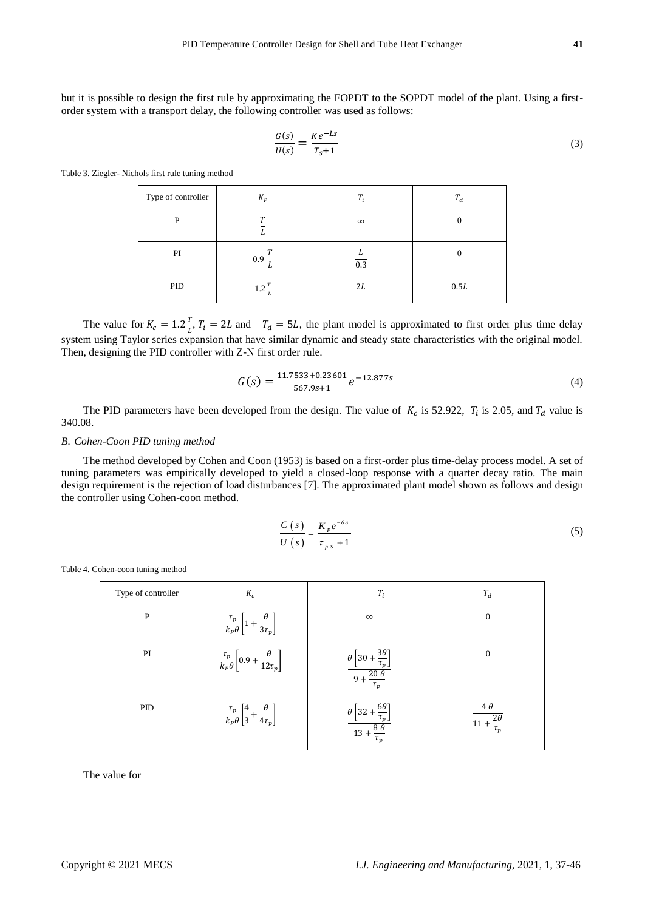but it is possible to design the first rule by approximating the FOPDT to the SOPDT model of the plant. Using a firstorder system with a transport delay, the following controller was used as follows:

$$
\frac{G(s)}{U(s)} = \frac{Ke^{-Ls}}{T_s + 1} \tag{3}
$$

Table 3. Ziegler- Nichols first rule tuning method

| Type of controller | $K_P$                  | $T_i$    | $T_d$ |
|--------------------|------------------------|----------|-------|
| P                  | $\boldsymbol{\tau}$    | $\infty$ |       |
| PI                 | 0.9<br>,,              | 0.3      |       |
| PID                | $1.2 \frac{T}{T}$<br>L | 2L       | 0.5L  |

The value for  $K_c = 1.2 \frac{T}{l}$  $\frac{I}{L'}$ ,  $T_i = 2L$  and  $T_d = 5L$ , the plant model is approximated to first order plus time delay system using Taylor series expansion that have similar dynamic and steady state characteristics with the original model. Then, designing the PID controller with Z-N first order rule.

$$
G(s) = \frac{11.7533 + 0.23601}{567.9s + 1} e^{-12.877s}
$$
\n<sup>(4)</sup>

The PID parameters have been developed from the design. The value of  $K_c$  is 52.922,  $T_i$  is 2.05, and  $T_d$  value is 340.08.

#### *B. Cohen-Coon PID tuning method*

The method developed by Cohen and Coon (1953) is based on a first-order plus time-delay process model. A set of tuning parameters was empirically developed to yield a closed-loop response with a quarter decay ratio. The main design requirement is the rejection of load disturbances [7]. The approximated plant model shown as follows and design the controller using Cohen-coon method.

$$
\frac{C(s)}{U(s)} = \frac{K_{p}e^{-\theta s}}{\tau_{p\ s} + 1} \tag{5}
$$

Table 4. Cohen-coon tuning method

| Type of controller | $K_c$                                                                     | $T_i$                                                                                             | $T_d$                                               |
|--------------------|---------------------------------------------------------------------------|---------------------------------------------------------------------------------------------------|-----------------------------------------------------|
| P                  | $\frac{\tau_p}{k_P \theta} \left[ 1 + \frac{\theta}{3 \tau_p} \right]$    | $\infty$                                                                                          | $\mathbf{0}$                                        |
| PI                 | $\frac{\tau_p}{k_P \theta} \left[ 0.9 + \frac{\theta}{12 \tau_p} \right]$ | $\frac{\theta\left[30+\frac{3\theta}{\tau_p}\right]}{9+\frac{20\theta}{\tau_p}}$<br>$\tau_p$      | $\mathbf{0}$                                        |
| PID                | $\frac{\tau_p}{k_p\theta}\left[\frac{4}{3}+\frac{\theta}{4\tau_p}\right]$ | $6\theta$<br>$\frac{\theta\left[32 + \frac{6\theta}{\tau_p}\right]}{13 + \frac{8\theta}{\tau_p}}$ | $4\theta$<br>$\overline{11+\frac{2\theta}{\tau_p}}$ |

The value for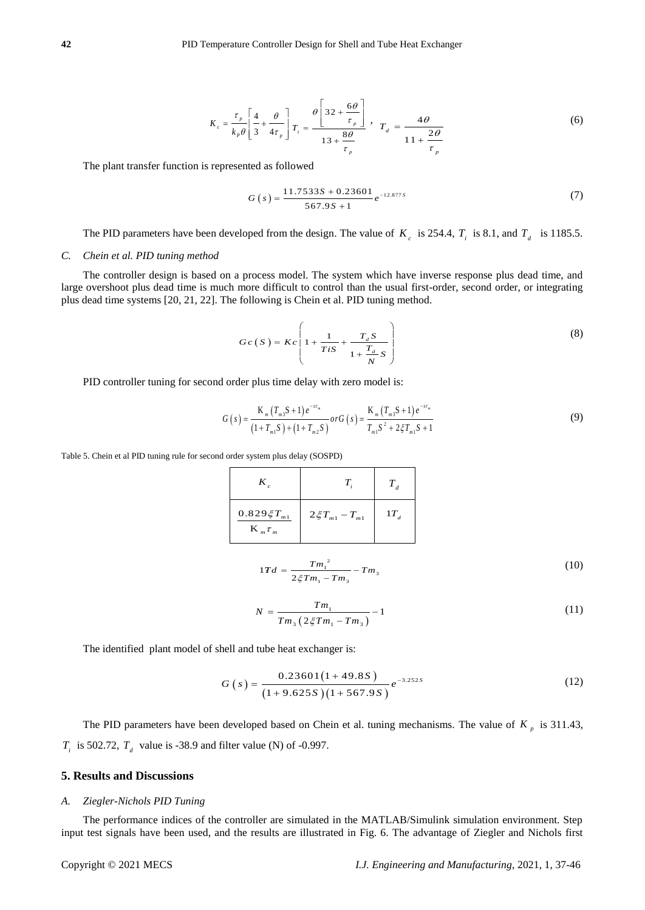$$
K_c = \frac{\tau_p}{k_p \theta} \left[ \frac{4}{3} + \frac{\theta}{4\tau_p} \right] T_i = \frac{\theta \left[ 32 + \frac{6\theta}{\tau_p} \right]}{13 + \frac{8\theta}{\tau_p}}, \quad T_d = \frac{4\theta}{11 + \frac{2\theta}{\tau_p}}
$$
(6)

The plant transfer function is represented as followed

$$
G(s) = \frac{11.7533S + 0.23601}{567.9S + 1} e^{-12.877S}
$$
 (7)

The PID parameters have been developed from the design. The value of  $K_c$  is 254.4,  $T_i$  is 8.1, and  $T_d$  is 1185.5.

#### *C. Chein et al. PID tuning method*

Explanational translet conclusion is expressed on bothomes in  $K_z = \frac{1}{1 + \frac{2\pi}{\epsilon_2}} \int \frac{1}{r} r_z = \frac{1}{1 + \frac{2\pi}{\epsilon_2}}$ <br>
The planational translet conclusion is expressed on bothomes<br>  $C(z) = \frac{11.7332.8 \pm 0.2360 \text{ m}}{1.45 \pm 0$ The controller design is based on a process model. The system which have inverse response plus dead time, and large overshoot plus dead time is much more difficult to control than the usual first-order, second order, or integrating plus dead time systems [20, 21, 22]. The following is Chein et al. PID tuning method.

$$
Gc(S) = Kc\left(1 + \frac{1}{TiS} + \frac{T_d S}{1 + \frac{T_d}{N}S}\right)
$$
\n(8)

PID controller tuning for second order plus time delay with zero model is:

$$
G(s) = \frac{K_m (T_{m3}S + 1) e^{-s r_m}}{(1 + T_{m1}S) + (1 + T_{m2}S)} \, or \, G(s) = \frac{K_m (T_{m3}S + 1) e^{-s r_m}}{T_{m1}S^2 + 2\zeta T_{m1}S + 1} \tag{9}
$$

Table 5. Chein et al PID tuning rule for second order system plus delay (SOSPD)

| K                                                             |                        |          |
|---------------------------------------------------------------|------------------------|----------|
| $0.829 \xi T_{\mbox{\tiny{m1}}}$<br>$\mathbf{K}_{m} \tau_{m}$ | $2\xi T_{m1} - T_{m1}$ | $1T_{d}$ |

$$
1Td = \frac{Tm_1^2}{2\xi Tm_1 - Tm_3} - Tm_3 \tag{10}
$$

$$
N = \frac{Tm_1}{Tm_3 \left(2\xi Tm_1 - Tm_3\right)} - 1\tag{11}
$$

The identified plant model of shell and tube heat exchanger is:

$$
G(s) = \frac{0.23601(1+49.8S)}{(1+9.625S)(1+567.9S)}e^{-3.252S}
$$
(12)

The PID parameters have been developed based on Chein et al. tuning mechanisms. The value of  $K_p$  is 311.43,  $T_i$  is 502.72,  $T_d$  value is -38.9 and filter value (N) of -0.997.

## **5. Results and Discussions**

## *A. Ziegler-Nichols PID Tuning*

The performance indices of the controller are simulated in the MATLAB/Simulink simulation environment. Step input test signals have been used, and the results are illustrated in Fig. 6. The advantage of Ziegler and Nichols first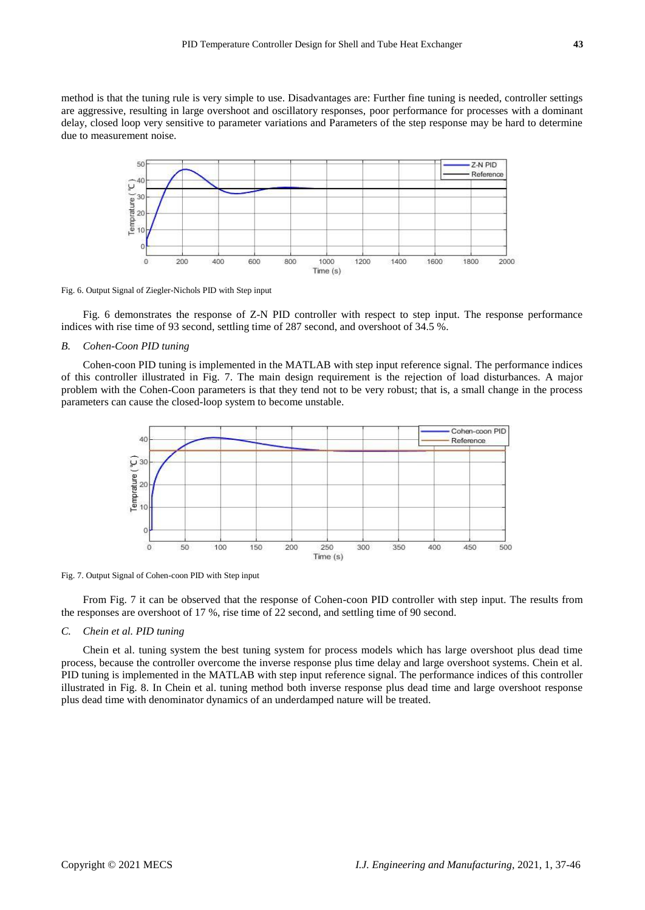method is that the tuning rule is very simple to use. Disadvantages are: Further fine tuning is needed, controller settings are aggressive, resulting in large overshoot and oscillatory responses, poor performance for processes with a dominant delay, closed loop very sensitive to parameter variations and Parameters of the step response may be hard to determine due to measurement noise.



Fig. 6. Output Signal of Ziegler-Nichols PID with Step input

Fig. 6 demonstrates the response of Z-N PID controller with respect to step input. The response performance indices with rise time of 93 second, settling time of 287 second, and overshoot of 34.5 %.

#### *B. Cohen-Coon PID tuning*

Cohen-coon PID tuning is implemented in the MATLAB with step input reference signal. The performance indices of this controller illustrated in Fig. 7. The main design requirement is the rejection of load disturbances. A major problem with the Cohen-Coon parameters is that they tend not to be very robust; that is, a small change in the process parameters can cause the closed-loop system to become unstable.



Fig. 7. Output Signal of Cohen-coon PID with Step input

From Fig. 7 it can be observed that the response of Cohen-coon PID controller with step input. The results from the responses are overshoot of 17 %, rise time of 22 second, and settling time of 90 second.

#### *C. Chein et al. PID tuning*

Chein et al. tuning system the best tuning system for process models which has large overshoot plus dead time process, because the controller overcome the inverse response plus time delay and large overshoot systems. Chein et al. PID tuning is implemented in the MATLAB with step input reference signal. The performance indices of this controller illustrated in Fig. 8. In Chein et al. tuning method both inverse response plus dead time and large overshoot response plus dead time with denominator dynamics of an underdamped nature will be treated.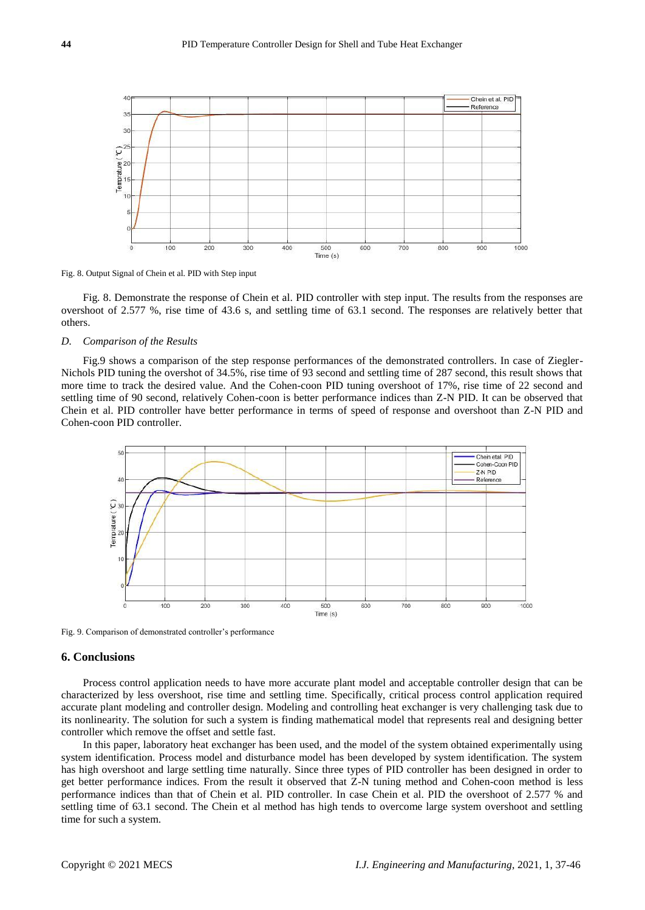

Fig. 8. Output Signal of Chein et al. PID with Step input

Fig. 8. Demonstrate the response of Chein et al. PID controller with step input. The results from the responses are overshoot of 2.577 %, rise time of 43.6 s, and settling time of 63.1 second. The responses are relatively better that others.

#### *D. Comparison of the Results*

Fig.9 shows a comparison of the step response performances of the demonstrated controllers. In case of Ziegler-Nichols PID tuning the overshot of 34.5%, rise time of 93 second and settling time of 287 second, this result shows that more time to track the desired value. And the Cohen-coon PID tuning overshoot of 17%, rise time of 22 second and settling time of 90 second, relatively Cohen-coon is better performance indices than Z-N PID. It can be observed that Chein et al. PID controller have better performance in terms of speed of response and overshoot than Z-N PID and Cohen-coon PID controller.



Fig. 9. Comparison of demonstrated controller's performance

# **6. Conclusions**

Process control application needs to have more accurate plant model and acceptable controller design that can be characterized by less overshoot, rise time and settling time. Specifically, critical process control application required accurate plant modeling and controller design. Modeling and controlling heat exchanger is very challenging task due to its nonlinearity. The solution for such a system is finding mathematical model that represents real and designing better controller which remove the offset and settle fast.

In this paper, laboratory heat exchanger has been used, and the model of the system obtained experimentally using system identification. Process model and disturbance model has been developed by system identification. The system has high overshoot and large settling time naturally. Since three types of PID controller has been designed in order to get better performance indices. From the result it observed that Z-N tuning method and Cohen-coon method is less performance indices than that of Chein et al. PID controller. In case Chein et al. PID the overshoot of 2.577 % and settling time of 63.1 second. The Chein et al method has high tends to overcome large system overshoot and settling time for such a system.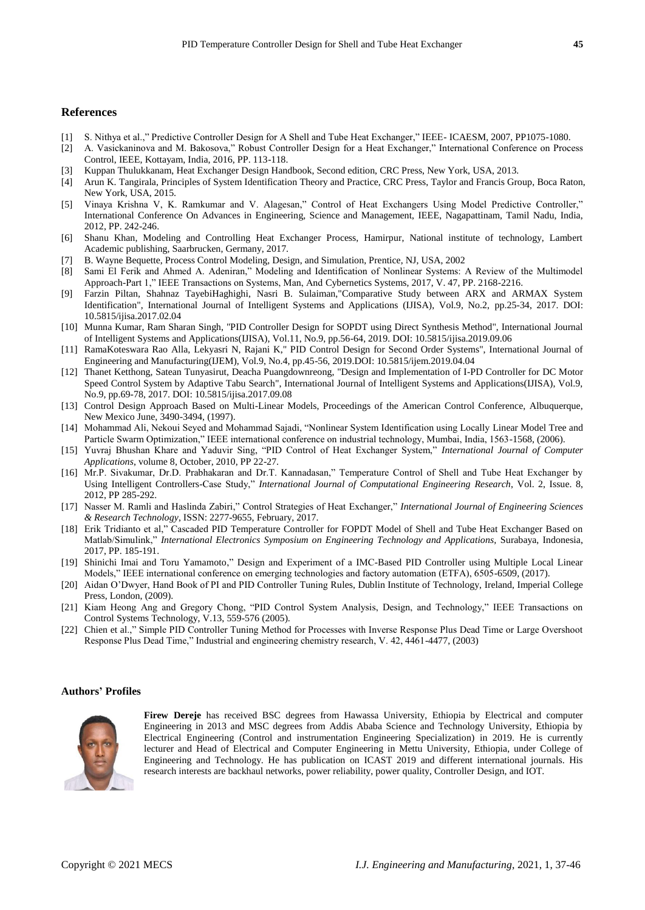### **References**

- [1] S. Nithya et al.," Predictive Controller Design for A Shell and Tube Heat Exchanger," IEEE- ICAESM, 2007, PP1075-1080.
- [2] A. Vasickaninova and M. Bakosova," Robust Controller Design for a Heat Exchanger," International Conference on Process Control, IEEE, Kottayam, India, 2016, PP. 113-118.
- [3] Kuppan Thulukkanam, Heat Exchanger Design Handbook, Second edition, CRC Press, New York, USA, 2013.
- [4] Arun K. Tangirala, Principles of System Identification Theory and Practice, CRC Press, Taylor and Francis Group, Boca Raton, New York, USA, 2015.
- [5] Vinaya Krishna V, K. Ramkumar and V. Alagesan," Control of Heat Exchangers Using Model Predictive Controller," International Conference On Advances in Engineering, Science and Management, IEEE, Nagapattinam, Tamil Nadu, India, 2012, PP. 242-246.
- [6] Shanu Khan, Modeling and Controlling Heat Exchanger Process, Hamirpur, National institute of technology, Lambert Academic publishing, Saarbrucken, Germany, 2017.
- [7] B. Wayne Bequette, Process Control Modeling, Design, and Simulation, Prentice, NJ, USA, 2002
- [8] Sami El Ferik and Ahmed A. Adeniran," Modeling and Identification of Nonlinear Systems: A Review of the Multimodel Approach-Part 1," IEEE Transactions on Systems, Man, And Cybernetics Systems, 2017, V. 47, PP. 2168-2216.
- [9] Farzin Piltan, Shahnaz TayebiHaghighi, Nasri B. Sulaiman,"Comparative Study between ARX and ARMAX System Identification", International Journal of Intelligent Systems and Applications (IJISA), Vol.9, No.2, pp.25-34, 2017. DOI: 10.5815/ijisa.2017.02.04
- [10] Munna Kumar, Ram Sharan Singh, "PID Controller Design for SOPDT using Direct Synthesis Method", International Journal of Intelligent Systems and Applications(IJISA), Vol.11, No.9, pp.56-64, 2019. DOI: 10.5815/ijisa.2019.09.06
- [11] RamaKoteswara Rao Alla, Lekyasri N, Rajani K," PID Control Design for Second Order Systems", International Journal of Engineering and Manufacturing(IJEM), Vol.9, No.4, pp.45-56, 2019.DOI: 10.5815/ijem.2019.04.04
- [12] Thanet Ketthong, Satean Tunyasirut, Deacha Puangdownreong, "Design and Implementation of I-PD Controller for DC Motor Speed Control System by Adaptive Tabu Search", International Journal of Intelligent Systems and Applications(IJISA), Vol.9, No.9, pp.69-78, 2017. DOI: 10.5815/ijisa.2017.09.08
- [13] Control Design Approach Based on Multi-Linear Models, Proceedings of the American Control Conference, Albuquerque, New Mexico June, 3490-3494, (1997).
- [14] Mohammad Ali, Nekoui Seyed and Mohammad Sajadi, "Nonlinear System Identification using Locally Linear Model Tree and Particle Swarm Optimization," IEEE international conference on industrial technology, Mumbai, India, 1563-1568, (2006).
- [15] Yuvraj Bhushan Khare and Yaduvir Sing, "PID Control of Heat Exchanger System," *International Journal of Computer Applications*, volume 8, October, 2010, PP 22-27.
- [16] Mr.P. Sivakumar, Dr.D. Prabhakaran and Dr.T. Kannadasan," Temperature Control of Shell and Tube Heat Exchanger by Using Intelligent Controllers-Case Study," *International Journal of Computational Engineering Research*, Vol. 2, Issue. 8, 2012, PP 285-292.
- [17] Nasser M. Ramli and Haslinda Zabiri," Control Strategies of Heat Exchanger," *International Journal of Engineering Sciences & Research Technology*, ISSN: 2277-9655, February, 2017.
- [18] Erik Tridianto et al," Cascaded PID Temperature Controller for FOPDT Model of Shell and Tube Heat Exchanger Based on Matlab/Simulink," *International Electronics Symposium on Engineering Technology and Applications,* Surabaya, Indonesia, 2017, PP. 185-191.
- [19] Shinichi Imai and Toru Yamamoto," Design and Experiment of a IMC-Based PID Controller using Multiple Local Linear Models," IEEE international conference on emerging technologies and factory automation (ETFA), 6505-6509, (2017).
- [20] Aidan O'Dwyer, Hand Book of PI and PID Controller Tuning Rules, Dublin Institute of Technology, Ireland, Imperial College Press, London, (2009).
- [21] Kiam Heong Ang and Gregory Chong, "PID Control System Analysis, Design, and Technology," IEEE Transactions on Control Systems Technology, V.13, 559-576 (2005).
- [22] Chien et al.," Simple PID Controller Tuning Method for Processes with Inverse Response Plus Dead Time or Large Overshoot Response Plus Dead Time," Industrial and engineering chemistry research, V. 42, 4461-4477, (2003)

#### **Authors' Profiles**



Firew Dereje has received BSC degrees from Hawassa University, Ethiopia by Electrical and computer Engineering in 2013 and MSC degrees from Addis Ababa Science and Technology University, Ethiopia by Electrical Engineering (Control and instrumentation Engineering Specialization) in 2019. He is currently lecturer and Head of Electrical and Computer Engineering in Mettu University, Ethiopia, under College of Engineering and Technology. He has publication on ICAST 2019 and different international journals. His research interests are backhaul networks, power reliability, power quality, Controller Design, and IOT.